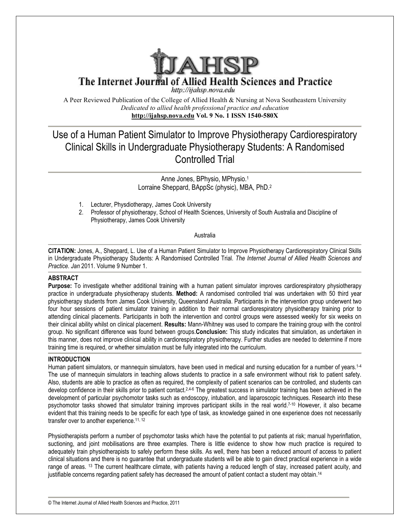

The Internet Journal of Allied Health Sciences and Practice

http://ijahsp.nova.edu

A Peer Reviewed Publication of the College of Allied Health & Nursing at Nova Southeastern University *Dedicated to allied health professional practice and education* **http://ijahsp.nova.edu http://ijahsp.nova.edu Vol. 9 o. 1 ISS 1540-580X** 

# Use of a Human Patient Simulator to Improve Physiotherapy Cardiorespiratory Clinical Skills in Undergraduate Physiotherapy Students: A Randomised Use of a Human Patient Simulator to Improve Physiotherapy<br>Clinical Skills in Undergraduate Physiotherapy Students:<br>Controlled Trial

Lorraine Lorraine Sheppard, BAppSc (physic), MBA, PhD.<sup>2</sup> Anne Jones, BPhysio, MPhysio.<sup>1</sup>

- 1. Lecturer, Physdiotherapy, Physdiotherapy, James Cook University
- 2. Professor of physiotherapy, School of Health Sciences, University of South Australia and Discipline of Physiotherapy, James Cook hysiotherapy, University

# Australia

**CITATION:** Jones, A., Sheppard, L. Use of a Human Patient Simulator to Improve Physiotherapy Cardiorespiratory Clinical Skills **CITATION:** Jones, A., Sheppard, L. Use of a Human Patient Simulator to Improve Physiotherapy Cardiores<br>in Undergraduate Physiotherapy Students: A Randomised Controlled Trial. *The Internet Journal of Allied Practice. Jan* 2011. Volume 9 Number 1.

# **ABSTRACT**

**Purpose:** To investigate whether additional training with a human patient simulator improves cardiorespiratory physiotherapy Purpose: To investigate whether additional training with a human patient simulator improves cardiorespiratory physiotherapy<br>practice in undergraduate physiotherapy students. Method: A randomised controlled trial was undert physiotherapy students from James Cook University, Queensland Australia. Participants in the intervention group underwent two physiotherapy students from James Cook University, Queensland Australia. Participants in the intervention group underwent two<br>four hour sessions of patient simulator training in addition to their normal cardiorespiratory p attending clinical placements. Participants in both the intervention and control groups were assessed weekly for six weeks on attending clinical placements. Participants in both the intervention and control groups were assessed weekly for six weeks on<br>their clinical ability whilst on clinical placement. **Results:** Mann-Whitney was used to compare group. No significant difference was found between groups.Conclusion: This study indicates that simulation, as undertaken in this manner, does not improve clinical ability in cardiorespiratory physiotherapy. Further studies are needed to determine if more training time is required, or whether simulation must be fully integrated into the curriculum. Peer Reviewel Publistation of the College of Allited Realist Namilies at Nousing at Now South College Controlled Fraction (Allied Realist) Professional practice and education<br>
Intervitiabs name and the United Realist profe 2. Professor of physiotherapy, School of Health Sciences, University of South Australia and Discipline of<br>
1. Physiotherapy, James Cook University<br>
4. Australia<br>
Australia<br>
Australia<br>
Australia<br>
Australia<br>
Australia<br>
Austr A randomised controlled trial was undertaken with 50 third year<br>and Australia. Participants in the intervention group underwent two<br>to their normal cardiorespiratory physiotherapy training prior to<br>ntion and control groups

# **INTRODUCTION**

Human patient simulators, or mannequin simulators, have been used in medical and nursing education for a number of years. The use of mannequin simulators in teaching allows students to practice in a safe environment without risk to patient safety. The use of mannequin simulators in teaching allows students to practice in a safe environment without risk to patient safety.<br>Also, students are able to practice as often as required, the complexity of patient scenarios ca Also, students are able to practice as often as required, the complexity of patient scenarios can be controlled, and students can<br>develop confidence in their skills prior to patient contact.<sup>2,4-6</sup> The greatest success in development of particular psychomotor tasks such as endoscopy, intubation, and laparoscopic techniques. Research into these development of particular psychomotor tasks such as endoscopy, intubation, and laparoscopic techniques. Research into these<br>psychomotor tasks showed that simulator training improves participant skills in the real world.<sup>7-</sup> evident that this training needs to be specific for each type of task, as knowledge gained in one experience does not necessarily transfer over to another experience.11, 12 patient contact.<sup>2,4-6</sup> The greatest success in simulator training has been achieved in the sks such as endoscopy, intubation, and laparoscopic techniques. Research into these or training improves participant skills in the

Physiotherapists perform a number of psychomotor tasks which have the potential to put patients at risk; manual hyperinflation, suctioning, and joint mobilisations are three examples. There is little evidence to show how much practice is required to adequately train physiotherapists to safely perform these skills. As well, there has been a reduced amount of access to patient clinical situations and there is no guarantee that undergraduate students will be able to gain direct practical experience in a wide range of areas. <sup>13</sup> The current healthcare climate, with patients having a reduced length of stay, increased patient acuity, and justifiable concerns regarding patient safety has decreased the amount of patient contact a student may obtain.<sup>14</sup>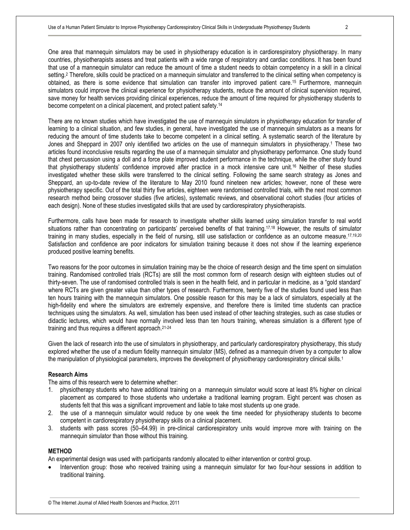One area that mannequin simulators may be used in physiotherapy education is in cardiorespiratory physiotherapy. In many countries, physiotherapists assess and treat patients with a wide range of respiratory and cardiac conditions. It has been found that use of a mannequin simulator can reduce the amount of time a student needs to obtain competency in a skill in a clinical setting.<sup>2</sup> Therefore, skills could be practiced on a mannequin simulator and transferred to the clinical setting when competency is obtained, as there is some evidence that simulation can transfer into improved patient care.15 Furthermore, mannequin simulators could improve the clinical experience for physiotherapy students, reduce the amount of clinical supervision required, save money for health services providing clinical experiences, reduce the amount of time required for physiotherapy students to become competent on a clinical placement, and protect patient safety.<sup>14</sup>

There are no known studies which have investigated the use of mannequin simulators in physiotherapy education for transfer of learning to a clinical situation, and few studies, in general, have investigated the use of mannequin simulators as a means for reducing the amount of time students take to become competent in a clinical setting. A systematic search of the literature by Jones and Sheppard in 2007 only identified two articles on the use of mannequin simulators in physiotherapy.<sup>1</sup> These two articles found inconclusive results regarding the use of a mannequin simulator and physiotherapy performance. One study found that chest percussion using a doll and a force plate improved student performance in the technique, while the other study found that physiotherapy students' confidence improved after practice in a mock intensive care unit.16 Neither of these studies investigated whether these skills were transferred to the clinical setting. Following the same search strategy as Jones and Sheppard, an up-to-date review of the literature to May 2010 found nineteen new articles; however, none of these were physiotherapy specific. Out of the total thirty five articles, eighteen were randomised controlled trials, with the next most common research method being crossover studies (five articles), systematic reviews, and observational cohort studies (four articles of each design). None of these studies investigated skills that are used by cardiorespiratory physiotherapists.

Furthermore, calls have been made for research to investigate whether skills learned using simulation transfer to real world situations rather than concentrating on participants' perceived benefits of that training.<sup>17,18</sup> However, the results of simulator training in many studies, especially in the field of nursing, still use satisfaction or confidence as an outcome measure.<sup>17,19,20</sup> Satisfaction and confidence are poor indicators for simulation training because it does not show if the learning experience produced positive learning benefits.

Two reasons for the poor outcomes in simulation training may be the choice of research design and the time spent on simulation training. Randomised controlled trials (RCTs) are still the most common form of research design with eighteen studies out of thirty-seven. The use of randomised controlled trials is seen in the health field, and in particular in medicine, as a "gold standard' where RCTs are given greater value than other types of research. Furthermore, twenty five of the studies found used less than ten hours training with the mannequin simulators. One possible reason for this may be a lack of simulators, especially at the high-fidelity end where the simulators are extremely expensive, and therefore there is limited time students can practice techniques using the simulators. As well, simulation has been used instead of other teaching strategies, such as case studies or didactic lectures, which would have normally involved less than ten hours training, whereas simulation is a different type of training and thus requires a different approach.21-24

Given the lack of research into the use of simulators in physiotherapy, and particularly cardiorespiratory physiotherapy, this study explored whether the use of a medium fidelity mannequin simulator (MS), defined as a mannequin driven by a computer to allow the manipulation of physiological parameters, improves the development of physiotherapy cardiorespiratory clinical skills.<sup>1</sup>

# **Research Aims**

The aims of this research were to determine whether:

- 1. physiotherapy students who have additional training on a mannequin simulator would score at least 8% higher on clinical placement as compared to those students who undertake a traditional learning program. Eight percent was chosen as students felt that this was a significant improvement and liable to take most students up one grade.
- 2. the use of a mannequin simulator would reduce by one week the time needed for physiotherapy students to become competent in cardiorespiratory physiotherapy skills on a clinical placement.
- 3. students with pass scores (50–64.99) in pre-clinical cardiorespiratory units would improve more with training on the mannequin simulator than those without this training.

#### **METHOD**

An experimental design was used with participants randomly allocated to either intervention or control group.

• Intervention group: those who received training using a mannequin simulator for two four-hour sessions in addition to traditional training.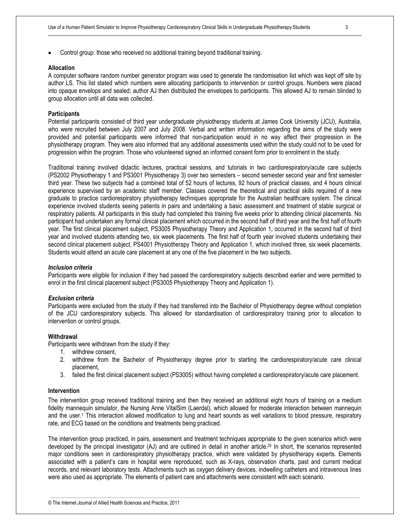• Control group: those who received no additional training beyond traditional training.

#### **Allocation**

A computer software random number generator program was used to generate the randomisation list which was kept off site by author LS. This list stated which numbers were allocating participants to intervention or control groups. Numbers were placed into opaque envelops and sealed; author AJ then distributed the envelopes to participants. This allowed AJ to remain blinded to group allocation until all data was collected.

#### **Participants**

Potential participants consisted of third year undergraduate physiotherapy students at James Cook University (JCU), Australia, who were recruited between July 2007 and July 2008. Verbal and written information regarding the aims of the study were provided and potential participants were informed that non-participation would in no way affect their progression in the physiotherapy program. They were also informed that any additional assessments used within the study could not to be used for progression within the program. Those who volunteered signed an informed consent form prior to enrolment in the study.

Traditional training involved didactic lectures, practical sessions, and tutorials in two cardiorespiratory/acute care subjects (PS2002 Physiotherapy 1 and PS3001 Physiotherapy 3) over two semesters – second semester second year and first semester third year. These two subjects had a combined total of 52 hours of lectures, 92 hours of practical classes, and 4 hours clinical experience supervised by an academic staff member. Classes covered the theoretical and practical skills required of a new graduate to practice cardiorespiratory physiotherapy techniques appropriate for the Australian healthcare system. The clinical experience involved students seeing patients in pairs and undertaking a basic assessment and treatment of stable surgical or respiratory patients. All participants in this study had completed this training five weeks prior to attending clinical placements. No participant had undertaken any formal clinical placement which occurred in the second half of third year and the first half of fourth year. The first clinical placement subject, PS3005 Physiotherapy Theory and Application 1, occurred in the second half of third year and involved students attending two, six week placements. The first half of fourth year involved students undertaking their second clinical placement subject, PS4001 Physiotherapy Theory and Application 1, which involved three, six week placements. Students would attend an acute care placement at any one of the five placement in the two subjects.

#### *Inclusion criteria*

Participants were eligible for inclusion if they had passed the cardiorespiratory subjects described earlier and were permitted to enrol in the first clinical placement subject (PS3005 Physiotherapy Theory and Application 1).

#### *Exclusion criteria*

Participants were excluded from the study if they had transferred into the Bachelor of Physiotherapy degree without completion of the JCU cardiorespiratory subjects. This allowed for standardisation of cardiorespiratory training prior to allocation to intervention or control groups.

#### **Withdrawal**

Participants were withdrawn from the study if they:

- 1. withdrew consent,
- 2. withdrew from the Bachelor of Physiotherapy degree prior to starting the cardiorespiratory/acute care clinical placement,
- 3. failed the first clinical placement subject (PS3005) without having completed a cardiorespiratory/acute care placement.

#### **Intervention**

The intervention group received traditional training and then they received an additional eight hours of training on a medium fidelity mannequin simulator, the Nursing Anne VitalSim (Laerdal), which allowed for moderate interaction between mannequin and the user.<sup>1</sup> This interaction allowed modification to lung and heart sounds as well variations to blood pressure, respiratory rate, and ECG based on the conditions and treatments being practiced.

The intervention group practiced, in pairs, assessment and treatment techniques appropriate to the given scenarios which were developed by the principal investigator (AJ) and are outlined in detail in another article.25 In short, the scenarios represented major conditions seen in cardiorespiratory physiotherapy practice, which were validated by physiotherapy experts. Elements associated with a patient's care in hospital were reproduced, such as X-rays, observation charts, past and current medical records, and relevant laboratory tests. Attachments such as oxygen delivery devices, indwelling catheters and intravenous lines were also used as appropriate. The elements of patient care and attachments were consistent with each scenario.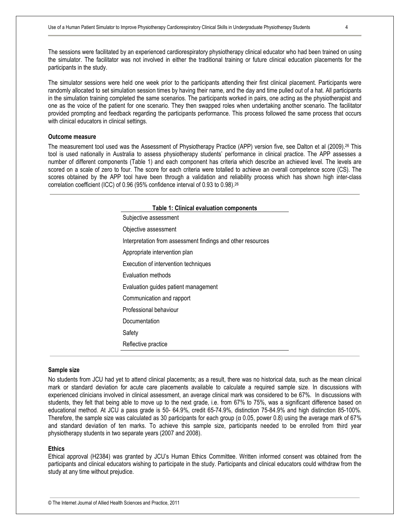The sessions were facilitated by an experienced cardiorespiratory physiotherapy clinical educator who had been trained on using the simulator. The facilitator was not involved in either the traditional training or future clinical education placements for the participants in the study.

The simulator sessions were held one week prior to the participants attending their first clinical placement. Participants were randomly allocated to set simulation session times by having their name, and the day and time pulled out of a hat. All participants in the simulation training completed the same scenarios. The participants worked in pairs, one acting as the physiotherapist and one as the voice of the patient for one scenario. They then swapped roles when undertaking another scenario. The facilitator provided prompting and feedback regarding the participants performance. This process followed the same process that occurs with clinical educators in clinical settings.

# **Outcome measure**

The measurement tool used was the Assessment of Physiotherapy Practice (APP) version five, see Dalton et al (2009).26 This tool is used nationally in Australia to assess physiotherapy students' performance in clinical practice. The APP assesses a number of different components (Table 1) and each component has criteria which describe an achieved level. The levels are scored on a scale of zero to four. The score for each criteria were totalled to achieve an overall competence score (CS). The scores obtained by the APP tool have been through a validation and reliability process which has shown high inter-class correlation coefficient (ICC) of 0.96 (95% confidence interval of 0.93 to 0.98).<sup>26</sup>

| <b>Table 1: Clinical evaluation components</b>              |
|-------------------------------------------------------------|
| Subjective assessment                                       |
| Objective assessment                                        |
| Interpretation from assessment findings and other resources |
| Appropriate intervention plan                               |
| Execution of intervention techniques                        |
| Evaluation methods                                          |
| Evaluation guides patient management                        |
| Communication and rapport                                   |
| Professional behaviour                                      |
| Documentation                                               |
| Safety                                                      |
| Reflective practice                                         |

#### **Sample size**

No students from JCU had yet to attend clinical placements; as a result, there was no historical data, such as the mean clinical mark or standard deviation for acute care placements available to calculate a required sample size. In discussions with experienced clinicians involved in clinical assessment, an average clinical mark was considered to be 67%. In discussions with students, they felt that being able to move up to the next grade, i.e. from 67% to 75%, was a significant difference based on educational method. At JCU a pass grade is 50- 64.9%, credit 65-74.9%, distinction 75-84.9% and high distinction 85-100%. Therefore, the sample size was calculated as 30 participants for each group (α 0.05, power 0.8) using the average mark of 67% and standard deviation of ten marks. To achieve this sample size, participants needed to be enrolled from third year physiotherapy students in two separate years (2007 and 2008).

#### **Ethics**

Ethical approval (H2384) was granted by JCU's Human Ethics Committee. Written informed consent was obtained from the participants and clinical educators wishing to participate in the study. Participants and clinical educators could withdraw from the study at any time without prejudice.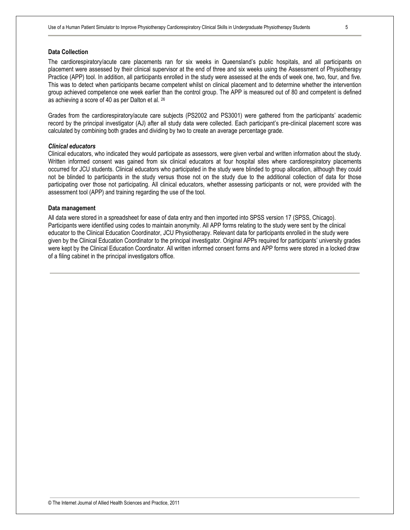## **Data Collection**

The cardiorespiratory/acute care placements ran for six weeks in Queensland's public hospitals, and all participants on placement were assessed by their clinical supervisor at the end of three and six weeks using the Assessment of Physiotherapy Practice (APP) tool. In addition, all participants enrolled in the study were assessed at the ends of week one, two, four, and five. This was to detect when participants became competent whilst on clinical placement and to determine whether the intervention group achieved competence one week earlier than the control group. The APP is measured out of 80 and competent is defined as achieving a score of 40 as per Dalton et al. <sup>26</sup>

Grades from the cardiorespiratory/acute care subjects (PS2002 and PS3001) were gathered from the participants' academic record by the principal investigator (AJ) after all study data were collected. Each participant's pre-clinical placement score was calculated by combining both grades and dividing by two to create an average percentage grade.

#### *Clinical educators*

Clinical educators, who indicated they would participate as assessors, were given verbal and written information about the study. Written informed consent was gained from six clinical educators at four hospital sites where cardiorespiratory placements occurred for JCU students. Clinical educators who participated in the study were blinded to group allocation, although they could not be blinded to participants in the study versus those not on the study due to the additional collection of data for those participating over those not participating. All clinical educators, whether assessing participants or not, were provided with the assessment tool (APP) and training regarding the use of the tool.

#### **Data management**

All data were stored in a spreadsheet for ease of data entry and then imported into SPSS version 17 (SPSS, Chicago). Participants were identified using codes to maintain anonymity. All APP forms relating to the study were sent by the clinical educator to the Clinical Education Coordinator, JCU Physiotherapy. Relevant data for participants enrolled in the study were given by the Clinical Education Coordinator to the principal investigator. Original APPs required for participants' university grades were kept by the Clinical Education Coordinator. All written informed consent forms and APP forms were stored in a locked draw of a filing cabinet in the principal investigators office.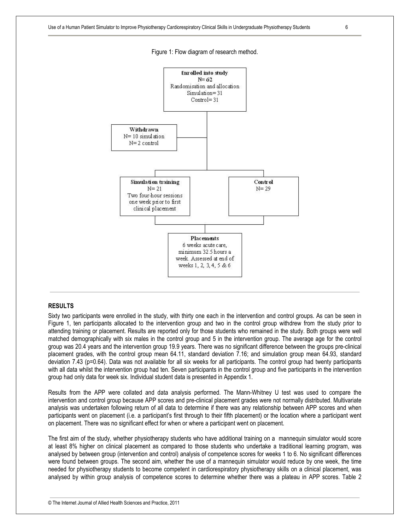

Figure 1: Flow diagram of research method.

## **RESULTS**

Sixty two participants were enrolled in the study, with thirty one each in the intervention and control groups. As can be seen in Figure 1, ten participants allocated to the intervention group and two in the control group withdrew from the study prior to attending training or placement. Results are reported only for those students who remained in the study. Both groups were well matched demographically with six males in the control group and 5 in the intervention group. The average age for the control group was 20.4 years and the intervention group 19.9 years. There was no significant difference between the groups pre-clinical placement grades, with the control group mean 64.11, standard deviation 7.16; and simulation group mean 64.93, standard deviation 7.43 (p=0.64). Data was not available for all six weeks for all participants. The control group had twenty participants with all data whilst the intervention group had ten. Seven participants in the control group and five participants in the intervention group had only data for week six. Individual student data is presented in Appendix 1.

Results from the APP were collated and data analysis performed. The Mann-Whitney U test was used to compare the intervention and control group because APP scores and pre-clinical placement grades were not normally distributed. Multivariate analysis was undertaken following return of all data to determine if there was any relationship between APP scores and when participants went on placement (i.e. a participant's first through to their fifth placement) or the location where a participant went on placement. There was no significant effect for when or where a participant went on placement.

The first aim of the study, whether physiotherapy students who have additional training on a mannequin simulator would score at least 8% higher on clinical placement as compared to those students who undertake a traditional learning program, was analysed by between group (intervention and control) analysis of competence scores for weeks 1 to 6. No significant differences were found between groups. The second aim, whether the use of a mannequin simulator would reduce by one week, the time needed for physiotherapy students to become competent in cardiorespiratory physiotherapy skills on a clinical placement, was analysed by within group analysis of competence scores to determine whether there was a plateau in APP scores. Table 2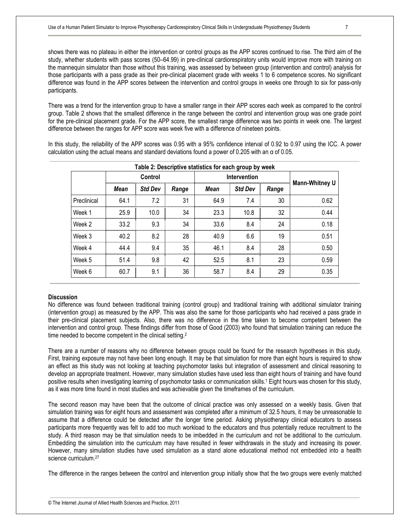shows there was no plateau in either the intervention or control groups as the APP scores continued to rise. The third aim of the study, whether students with pass scores (50–64.99) in pre-clinical cardiorespiratory units would improve more with training on the mannequin simulator than those without this training, was assessed by between group (intervention and control) analysis for those participants with a pass grade as their pre-clinical placement grade with weeks 1 to 6 competence scores. No significant difference was found in the APP scores between the intervention and control groups in weeks one through to six for pass-only participants.

There was a trend for the intervention group to have a smaller range in their APP scores each week as compared to the control group. Table 2 shows that the smallest difference in the range between the control and intervention group was one grade point for the pre-clinical placement grade. For the APP score, the smallest range difference was two points in week one. The largest difference between the ranges for APP score was week five with a difference of nineteen points.

In this study, the reliability of the APP scores was 0.95 with a 95% confidence interval of 0.92 to 0.97 using the ICC. A power calculation using the actual means and standard deviations found a power of 0.205 with an α of 0.05.

| Table 2: Descriptive statistics for each group by week |         |                |       |              |                |       |                       |  |  |  |  |
|--------------------------------------------------------|---------|----------------|-------|--------------|----------------|-------|-----------------------|--|--|--|--|
|                                                        | Control |                |       | Intervention |                |       |                       |  |  |  |  |
|                                                        | Mean    | <b>Std Dev</b> | Range | Mean         | <b>Std Dev</b> | Range | <b>Mann-Whitney U</b> |  |  |  |  |
| Preclinical                                            | 64.1    | 7.2            | 31    | 64.9         | 7.4            | 30    | 0.62                  |  |  |  |  |
| Week 1                                                 | 25.9    | 10.0           | 34    | 23.3         | 10.8           | 32    | 0.44                  |  |  |  |  |
| Week 2                                                 | 33.2    | 9.3            | 34    | 33.6         | 8.4            | 24    | 0.18                  |  |  |  |  |
| Week 3                                                 | 40.2    | 8.2            | 28    | 40.9         | 6.6            | 19    | 0.51                  |  |  |  |  |
| Week 4                                                 | 44 4    | 9.4            | 35    | 461          | 8.4            | 28    | 0.50                  |  |  |  |  |
| Week 5                                                 | 514     | 9.8            | 42    | 52.5         | 8.1            | 23    | 0.59                  |  |  |  |  |
| Week 6                                                 | 60.7    | 9.1            | 36    | 58.7         | 8.4            | 29    | 0.35                  |  |  |  |  |

#### **Discussion**

No difference was found between traditional training (control group) and traditional training with additional simulator training (intervention group) as measured by the APP. This was also the same for those participants who had received a pass grade in their pre-clinical placement subjects. Also, there was no difference in the time taken to become competent between the intervention and control group. These findings differ from those of Good (2003) who found that simulation training can reduce the time needed to become competent in the clinical setting.<sup>2</sup>

There are a number of reasons why no difference between groups could be found for the research hypotheses in this study. First, training exposure may not have been long enough. It may be that simulation for more than eight hours is required to show an effect as this study was not looking at teaching psychomotor tasks but integration of assessment and clinical reasoning to develop an appropriate treatment. However, many simulation studies have used less than eight hours of training and have found positive results when investigating learning of psychomotor tasks or communication skills.<sup>1</sup> Eight hours was chosen for this study, as it was more time found in most studies and was achievable given the timeframes of the curriculum.

The second reason may have been that the outcome of clinical practice was only assessed on a weekly basis. Given that simulation training was for eight hours and assessment was completed after a minimum of 32.5 hours, it may be unreasonable to assume that a difference could be detected after the longer time period. Asking physiotherapy clinical educators to assess participants more frequently was felt to add too much workload to the educators and thus potentially reduce recruitment to the study. A third reason may be that simulation needs to be imbedded in the curriculum and not be additional to the curriculum. Embedding the simulation into the curriculum may have resulted in fewer withdrawals in the study and increasing its power. However, many simulation studies have used simulation as a stand alone educational method not embedded into a health science curriculum.<sup>27</sup>

The difference in the ranges between the control and intervention group initially show that the two groups were evenly matched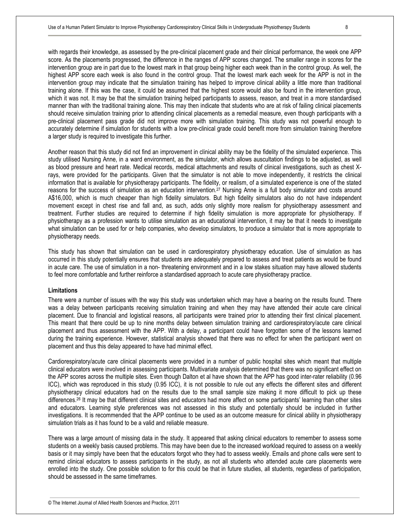with regards their knowledge, as assessed by the pre-clinical placement grade and their clinical performance, the week one APP score. As the placements progressed, the difference in the ranges of APP scores changed. The smaller range in scores for the intervention group are in part due to the lowest mark in that group being higher each week than in the control group. As well, the highest APP score each week is also found in the control group. That the lowest mark each week for the APP is not in the intervention group may indicate that the simulation training has helped to improve clinical ability a little more than traditional training alone. If this was the case, it could be assumed that the highest score would also be found in the intervention group, which it was not. It may be that the simulation training helped participants to assess, reason, and treat in a more standardised manner than with the traditional training alone. This may then indicate that students who are at risk of failing clinical placements should receive simulation training prior to attending clinical placements as a remedial measure, even though participants with a pre-clinical placement pass grade did not improve more with simulation training. This study was not powerful enough to accurately determine if simulation for students with a low pre-clinical grade could benefit more from simulation training therefore a larger study is required to investigate this further.

Another reason that this study did not find an improvement in clinical ability may be the fidelity of the simulated experience. This study utilised Nursing Anne, in a ward environment, as the simulator, which allows auscultation findings to be adjusted, as well as blood pressure and heart rate. Medical records, medical attachments and results of clinical investigations, such as chest Xrays, were provided for the participants. Given that the simulator is not able to move independently, it restricts the clinical information that is available for physiotherapy participants. The fidelity, or realism, of a simulated experience is one of the stated reasons for the success of simulation as an education intervention.27 Nursing Anne is a full body simulator and costs around A\$16,000, which is much cheaper than high fidelity simulators. But high fidelity simulators also do not have independent movement except in chest rise and fall and, as such, adds only slightly more realism for physiotherapy assessment and treatment. Further studies are required to determine if high fidelity simulation is more appropriate for physiotherapy. If physiotherapy as a profession wants to utilise simulation as an educational intervention, it may be that it needs to investigate what simulation can be used for or help companies, who develop simulators, to produce a simulator that is more appropriate to physiotherapy needs.

This study has shown that simulation can be used in cardiorespiratory physiotherapy education. Use of simulation as has occurred in this study potentially ensures that students are adequately prepared to assess and treat patients as would be found in acute care. The use of simulation in a non- threatening environment and in a low stakes situation may have allowed students to feel more comfortable and further reinforce a standardised approach to acute care physiotherapy practice.

## **Limitations**

There were a number of issues with the way this study was undertaken which may have a bearing on the results found. There was a delay between participants receiving simulation training and when they may have attended their acute care clinical placement. Due to financial and logistical reasons, all participants were trained prior to attending their first clinical placement. This meant that there could be up to nine months delay between simulation training and cardiorespiratory/acute care clinical placement and thus assessment with the APP. With a delay, a participant could have forgotten some of the lessons learned during the training experience. However, statistical analysis showed that there was no effect for when the participant went on placement and thus this delay appeared to have had minimal effect.

Cardiorespiratory/acute care clinical placements were provided in a number of public hospital sites which meant that multiple clinical educators were involved in assessing participants. Multivariate analysis determined that there was no significant effect on the APP scores across the multiple sites. Even though Dalton et al have shown that the APP has good inter-rater reliability (0.96 ICC), which was reproduced in this study (0.95 ICC), it is not possible to rule out any effects the different sites and different physiotherapy clinical educators had on the results due to the small sample size making it more difficult to pick up these differences.<sup>26</sup> It may be that different clinical sites and educators had more affect on some participants' learning than other sites and educators. Learning style preferences was not assessed in this study and potentially should be included in further investigations. It is recommended that the APP continue to be used as an outcome measure for clinical ability in physiotherapy simulation trials as it has found to be a valid and reliable measure.

There was a large amount of missing data in the study. It appeared that asking clinical educators to remember to assess some students on a weekly basis caused problems. This may have been due to the increased workload required to assess on a weekly basis or it may simply have been that the educators forgot who they had to assess weekly. Emails and phone calls were sent to remind clinical educators to assess participants in the study, as not all students who attended acute care placements were enrolled into the study. One possible solution to for this could be that in future studies, all students, regardless of participation, should be assessed in the same timeframes.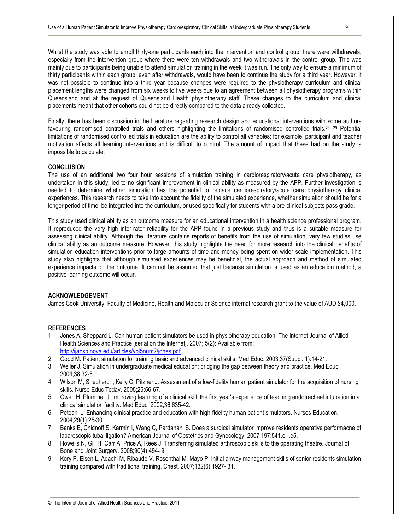Whilst the study was able to enroll thirty-one participants each into the intervention and control group, there were withdrawals, especially from the intervention group where there were ten withdrawals and two withdrawals in the control group. This was mainly due to participants being unable to attend simulation training in the week it was run. The only way to ensure a minimum of thirty participants within each group, even after withdrawals, would have been to continue the study for a third year. However, it was not possible to continue into a third year because changes were required to the physiotherapy curriculum and clinical placement lengths were changed from six weeks to five weeks due to an agreement between all physiotherapy programs within Queensland and at the request of Queensland Health physiotherapy staff. These changes to the curriculum and clinical placements meant that other cohorts could not be directly compared to the data already collected.

Finally, there has been discussion in the literature regarding research design and educational interventions with some authors favouring randomised controlled trials and others highlighting the limitations of randomised controlled trials.28, 29 Potential limitations of randomised controlled trials in education are the ability to control all variables; for example, participant and teacher motivation affects all learning interventions and is difficult to control. The amount of impact that these had on the study is impossible to calculate.

## **CONCLUSION**

The use of an additional two four hour sessions of simulation training in cardiorespiratory/acute care physiotherapy, as undertaken in this study, led to no significant improvement in clinical ability as measured by the APP. Further investigation is needed to determine whether simulation has the potential to replace cardiorespiratory/acute care physiotherapy clinical experiences. This research needs to take into account the fidelity of the simulated experience, whether simulation should be for a longer period of time, be integrated into the curriculum, or used specifically for students with a pre-clinical subjects pass grade.

This study used clinical ability as an outcome measure for an educational intervention in a health science professional program. It reproduced the very high inter-rater reliability for the APP found in a previous study and thus is a suitable measure for assessing clinical ability. Although the literature contains reports of benefits from the use of simulation, very few studies use clinical ability as an outcome measure. However, this study highlights the need for more research into the clinical benefits of simulation education interventions prior to large amounts of time and money being spent on wider scale implementation. This study also highlights that although simulated experiences may be beneficial, the actual approach and method of simulated experience impacts on the outcome. It can not be assumed that just because simulation is used as an education method, a positive learning outcome will occur.

## **ACKNOWLEDGEMENT**

James Cook University, Faculty of Medicine, Health and Molecular Science internal research grant to the value of AUD \$4,000.

# **REFERENCES**

- 1. Jones A, Sheppard L. Can human patient simulators be used in physiotherapy education. The Internet Journal of Allied Health Sciences and Practice [serial on the Internet]. 2007; 5(2): Available from: http://ijahsp.nova.edu/articles/vol5num2/jones.pdf.
- 2. Good M. Patient simulation for training basic and advanced clinical skills. Med Educ. 2003;37(Suppl. 1):14-21.
- 3. Weller J. Simulation in undergraduate medical education: bridging the gap between theory and practice. Med Educ. 2004;38:32-8.
- 4. Wilson M, Shepherd I, Kelly C, Pitzner J. Assessment of a low-fidelity human patient simulator for the acquisition of nursing skills. Nurse Educ Today. 2005;25:56-67.
- 5. Owen H, Plummer J. Improving learning of a clinical skill: the first year's experience of teaching endotracheal intubation in a clinical simulation facility. Med Educ. 2002;36:635-42.
- 6. Peteani L. Enhancing clinical practice and education with high-fidelity human patient simulators. Nurses Education. 2004;29(1):25-30.
- 7. Banks E, Chidnoff S, Karmin I, Wang C, Pardanani S. Does a surgical simulator improve residents operative performacne of laparoscopic tubal ligation? American Journal of Obstetrics and Gynecology. 2007;197:541.e- .e5.
- 8. Howells N, Gill H, Carr A, Price A, Rees J. Transferring simulated arthroscopic skills to the operating theatre. Journal of Bone and Joint Surgery. 2008;90(4):494- 9.
- 9. Kory P, Eisen L, Adachi M, Ribaudo V, Rosenthal M, Mayo P. Initial airway management skills of senior residents simulation training compared with traditional training. Chest. 2007;132(6):1927- 31.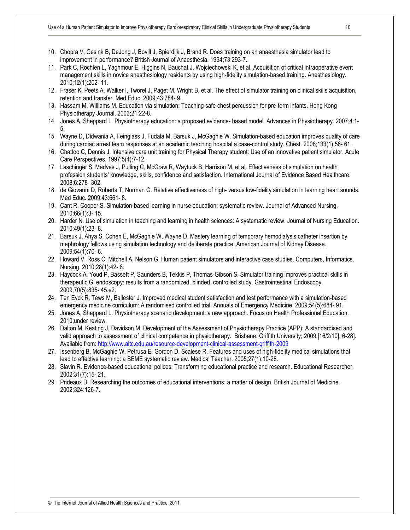- 10. Chopra V, Gesink B, DeJong J, Bovill J, Spierdijk J, Brand R. Does training on an anaesthesia simulator lead to improvement in performance? British Journal of Anaesthesia. 1994;73:293-7.
- 11. Park C, Rochlen L, Yaghmour E, Higgins N, Bauchat J, Wojciechowski K, et al. Acquisition of critical intraoperative event management skills in novice anesthesiology residents by using high-fidelity simulation-based training. Anesthesiology. 2010;12(1):202- 11.
- 12. Fraser K, Peets A, Walker I, Tworel J, Paget M, Wright B, et al. The effect of simulator training on clinical skills acquisition, retention and transfer. Med Educ. 2009;43:784- 9.
- 13. Hassam M, Williams M. Education via simulation: Teaching safe chest percussion for pre-term infants. Hong Kong Physiotherapy Journal. 2003;21:22-8.
- 14. Jones A, Sheppard L. Physiotherapy education: a proposed evidence- based model. Advances in Physiotherapy. 2007;4:1- 5.
- 15. Wayne D, Didwania A, Feinglass J, Fudala M, Barsuk J, McGaghie W. Simulation-based education improves quality of care during cardiac arrest team responses at an academic teaching hospital a case-control study. Chest. 2008;133(1):56- 61.
- 16. Chattoo C, Dennis J. Intensive care unit training for Physical Therapy student: Use of an innovative patient simulator. Acute Care Perspectives. 1997;5(4):7-12.
- 17. Laschinger S, Medves J, Pulling C, McGraw R, Waytuck B, Harrison M, et al. Effectiveness of simulation on health profession students' knowledge, skills, confidence and satisfaction. International Journal of Evidence Based Healthcare. 2008;6:278- 302.
- 18. de Giovanni D, Roberts T, Norman G. Relative effectiveness of high- versus low-fidelity simulation in learning heart sounds. Med Educ. 2009;43:661- 8.
- 19. Cant R, Cooper S. Simulation-based learning in nurse education: systematic review. Journal of Advanced Nursing. 2010;66(1):3- 15.
- 20. Harder N. Use of simulation in teaching and learning in health sciences: A systematic review. Journal of Nursing Education. 2010;49(1):23- 8.
- 21. Barsuk J, Ahya S, Cohen E, McGaghie W, Wayne D. Mastery learning of temporary hemodialysis catheter insertion by mephrology fellows using simulation technology and deliberate practice. American Journal of Kidney Disease. 2009;54(1):70- 6.
- 22. Howard V, Ross C, Mitchell A, Nelson G. Human patient simulators and interactive case studies. Computers, Informatics, Nursing. 2010;28(1):42- 8.
- 23. Haycock A, Youd P, Bassett P, Saunders B, Tekkis P, Thomas-Gibson S. Simulator training improves practical skills in therapeutic GI endoscopy: results from a randomized, blinded, controlled study. Gastrointestinal Endoscopy. 2009;70(5):835- 45.e2.
- 24. Ten Eyck R, Tews M, Ballester J. Improved medical student satisfaction and test performance with a simulation-based emergency medicine curriculum: A randomised controlled trial. Annuals of Emergency Medicine. 2009;54(5):684- 91.
- 25. Jones A, Sheppard L. Physiotherapy scenario development: a new approach. Focus on Health Professional Education. 2010;under review.
- 26. Dalton M, Keating J, Davidson M. Development of the Assessment of Physiotherapy Practice (APP): A standardised and valid approach to assessment of clinical competence in physiotherapy. Brisbane: Griffith University; 2009 [16/2/10]; 6-28]. Available from: http://www.altc.edu.au/resource-development-clinical-assessment-griffith-2009
- 27. Issenberg B, McGaghie W, Petrusa E, Gordon D, Scalese R. Features and uses of high-fidelity medical simulations that lead to effective learning: a BEME systematic review. Medical Teacher. 2005;27(1):10-28.
- 28. Slavin R. Evidence-based educational polices: Transforming educational practice and research. Educational Researcher. 2002;31(7):15- 21.
- 29. Prideaux D. Researching the outcomes of educational interventions: a matter of design. British Journal of Medicine. 2002;324:126-7.